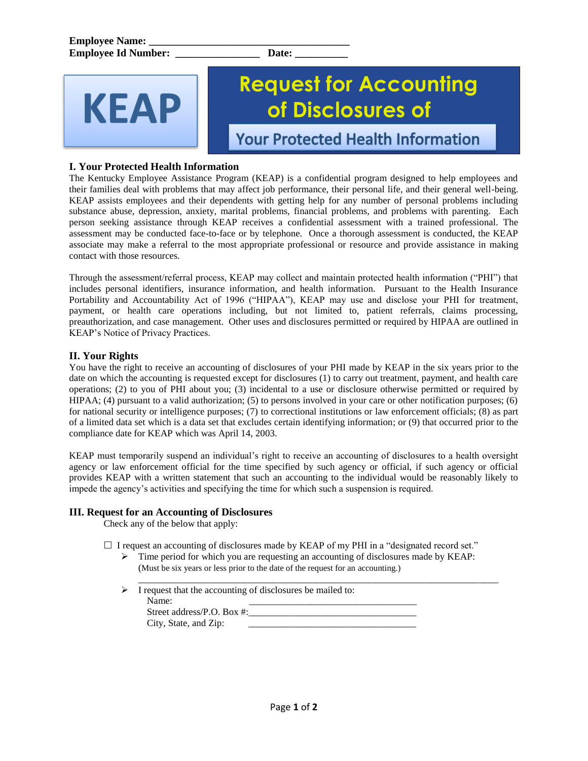# KFAP

# **Request for Accounting of Disclosures of**

**Your Protected Health Information** 

## **I. Your Protected Health Information**

The Kentucky Employee Assistance Program (KEAP) is a confidential program designed to help employees and their families deal with problems that may affect job performance, their personal life, and their general well-being. KEAP assists employees and their dependents with getting help for any number of personal problems including substance abuse, depression, anxiety, marital problems, financial problems, and problems with parenting. Each person seeking assistance through KEAP receives a confidential assessment with a trained professional. The assessment may be conducted face-to-face or by telephone. Once a thorough assessment is conducted, the KEAP associate may make a referral to the most appropriate professional or resource and provide assistance in making contact with those resources.

Through the assessment/referral process, KEAP may collect and maintain protected health information ("PHI") that includes personal identifiers, insurance information, and health information. Pursuant to the Health Insurance Portability and Accountability Act of 1996 ("HIPAA"), KEAP may use and disclose your PHI for treatment, payment, or health care operations including, but not limited to, patient referrals, claims processing, preauthorization, and case management. Other uses and disclosures permitted or required by HIPAA are outlined in KEAP's Notice of Privacy Practices.

### **II. Your Rights**

You have the right to receive an accounting of disclosures of your PHI made by KEAP in the six years prior to the date on which the accounting is requested except for disclosures (1) to carry out treatment, payment, and health care operations; (2) to you of PHI about you; (3) incidental to a use or disclosure otherwise permitted or required by HIPAA; (4) pursuant to a valid authorization; (5) to persons involved in your care or other notification purposes; (6) for national security or intelligence purposes; (7) to correctional institutions or law enforcement officials; (8) as part of a limited data set which is a data set that excludes certain identifying information; or (9) that occurred prior to the compliance date for KEAP which was April 14, 2003.

KEAP must temporarily suspend an individual's right to receive an accounting of disclosures to a health oversight agency or law enforcement official for the time specified by such agency or official, if such agency or official provides KEAP with a written statement that such an accounting to the individual would be reasonably likely to impede the agency's activities and specifying the time for which such a suspension is required.

#### **III. Request for an Accounting of Disclosures**

Check any of the below that apply:

 $\Box$  I request an accounting of disclosures made by KEAP of my PHI in a "designated record set."

 $\triangleright$  Time period for which you are requesting an accounting of disclosures made by KEAP: (Must be six years or less prior to the date of the request for an accounting.)

|  | I request that the accounting of disclosures be mailed to: |
|--|------------------------------------------------------------|
|  | Name:                                                      |
|  | Street address/P.O. Box #:                                 |
|  | City, State, and Zip:                                      |